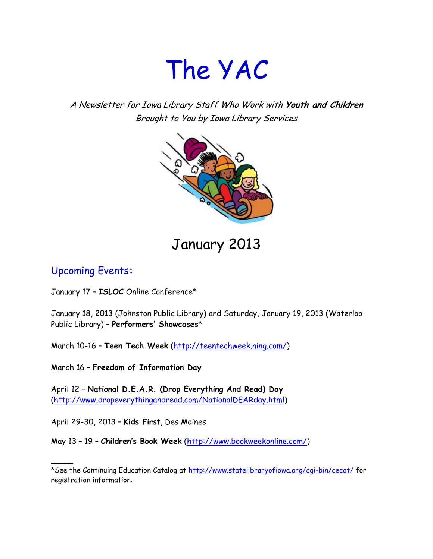# The YAC

A Newsletter for Iowa Library Staff Who Work with **Youth and Children** Brought to You by Iowa Library Services



## January 2013

#### Upcoming Events**:**

 $\overline{\phantom{a}}$ 

January 17 – **ISLOC** Online Conference\*

January 18, 2013 (Johnston Public Library) and Saturday, January 19, 2013 (Waterloo Public Library) – **Performers' Showcases**\*

March 10-16 – **Teen Tech Week** [\(http://teentechweek.ning.com/\)](http://teentechweek.ning.com/)

March 16 – **Freedom of Information Day**

April 12 – **National D.E.A.R. (Drop Everything And Read) Day** [\(http://www.dropeverythingandread.com/NationalDEARday.html\)](http://www.dropeverythingandread.com/NationalDEARday.html)

April 29-30, 2013 – **Kids First**, Des Moines

May 13 – 19 – **Children's Book Week** [\(http://www.bookweekonline.com/\)](http://www.bookweekonline.com/)

<sup>\*</sup>See the Continuing Education Catalog at<http://www.statelibraryofiowa.org/cgi-bin/cecat/> for registration information.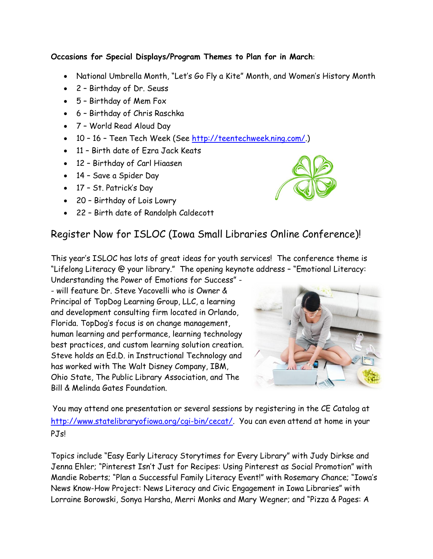#### **Occasions for Special Displays/Program Themes to Plan for in March**:

- National Umbrella Month, "Let's Go Fly a Kite" Month, and Women's History Month
- 2 Birthday of Dr. Seuss
- 5 Birthday of Mem Fox
- 6 Birthday of Chris Raschka
- 7 World Read Aloud Day
- 10 16 Teen Tech Week (See [http://teentechweek.ning.com/.](http://teentechweek.ning.com/))
- 11 Birth date of Ezra Jack Keats
- 12 Birthday of Carl Hiaasen
- 14 Save a Spider Day
- 17 St. Patrick's Day
- 20 Birthday of Lois Lowry
- 22 Birth date of Randolph Caldecott

#### Register Now for ISLOC (Iowa Small Libraries Online Conference)!

This year's ISLOC has lots of great ideas for youth services! The conference theme is "Lifelong Literacy @ your library." The opening keynote address – "Emotional Literacy:

Understanding the Power of Emotions for Success" - - will feature Dr. Steve Yacovelli who is Owner & Principal of TopDog Learning Group, LLC, a learning and development consulting firm located in Orlando, Florida. TopDog's focus is on change management, human learning and performance, learning technology best practices, and custom learning solution creation. Steve holds an Ed.D. in Instructional Technology and has worked with The Walt Disney Company, IBM, Ohio State, The Public Library Association, and The Bill & Melinda Gates Foundation.



You may attend one presentation or several sessions by registering in the CE Catalog at [http://www.statelibraryofiowa.org/cgi-bin/cecat/.](http://www.statelibraryofiowa.org/cgi-bin/cecat/) You can even attend at home in your PJ<sub>s</sub>!

Topics include "Easy Early Literacy Storytimes for Every Library" with Judy Dirkse and Jenna Ehler; "Pinterest Isn't Just for Recipes: Using Pinterest as Social Promotion" with Mandie Roberts; "Plan a Successful Family Literacy Event!" with Rosemary Chance; "Iowa's News Know-How Project: News Literacy and Civic Engagement in Iowa Libraries" with Lorraine Borowski, Sonya Harsha, Merri Monks and Mary Wegner; and "Pizza & Pages: A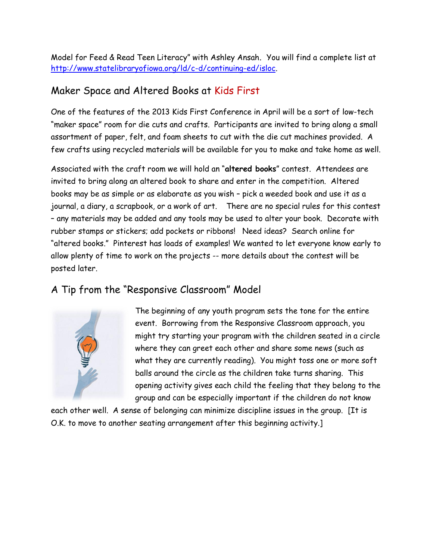Model for Feed & Read Teen Literacy" with Ashley Ansah. You will find a complete list at [http://www.statelibraryofiowa.org/ld/c-d/continuing-ed/isloc.](http://www.statelibraryofiowa.org/ld/c-d/continuing-ed/isloc)

#### Maker Space and Altered Books at Kids First

One of the features of the 2013 Kids First Conference in April will be a sort of low-tech "maker space" room for die cuts and crafts. Participants are invited to bring along a small assortment of paper, felt, and foam sheets to cut with the die cut machines provided. A few crafts using recycled materials will be available for you to make and take home as well.

Associated with the craft room we will hold an "**altered books**" contest. Attendees are invited to bring along an altered book to share and enter in the competition. Altered books may be as simple or as elaborate as you wish – pick a weeded book and use it as a journal, a diary, a scrapbook, or a work of art. There are no special rules for this contest – any materials may be added and any tools may be used to alter your book. Decorate with rubber stamps or stickers; add pockets or ribbons! Need ideas? Search online for "altered books." Pinterest has loads of examples! We wanted to let everyone know early to allow plenty of time to work on the projects -- more details about the contest will be posted later.

#### A Tip from the "Responsive Classroom" Model



The beginning of any youth program sets the tone for the entire event. Borrowing from the Responsive Classroom approach, you might try starting your program with the children seated in a circle where they can greet each other and share some news (such as what they are currently reading). You might toss one or more soft balls around the circle as the children take turns sharing. This opening activity gives each child the feeling that they belong to the group and can be especially important if the children do not know

each other well. A sense of belonging can minimize discipline issues in the group. [It is O.K. to move to another seating arrangement after this beginning activity.]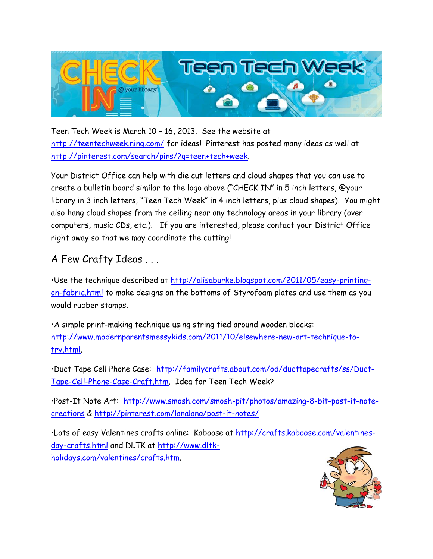

Teen Tech Week is March 10 – 16, 2013. See the website at <http://teentechweek.ning.com/> for ideas! Pinterest has posted many ideas as well at [http://pinterest.com/search/pins/?q=teen+tech+week.](http://pinterest.com/search/pins/?q=teen+tech+week)

Your District Office can help with die cut letters and cloud shapes that you can use to create a bulletin board similar to the logo above ("CHECK IN" in 5 inch letters, @your library in 3 inch letters, "Teen Tech Week" in 4 inch letters, plus cloud shapes). You might also hang cloud shapes from the ceiling near any technology areas in your library (over computers, music CDs, etc.). If you are interested, please contact your District Office right away so that we may coordinate the cutting!

### A Few Crafty Ideas . . .

•Use the technique described at [http://alisaburke.blogspot.com/2011/05/easy-printing](http://alisaburke.blogspot.com/2011/05/easy-printing-on-fabric.html)[on-fabric.html](http://alisaburke.blogspot.com/2011/05/easy-printing-on-fabric.html) to make designs on the bottoms of Styrofoam plates and use them as you would rubber stamps.

•A simple print-making technique using string tied around wooden blocks: [http://www.modernparentsmessykids.com/2011/10/elsewhere-new-art-technique-to](http://www.modernparentsmessykids.com/2011/10/elsewhere-new-art-technique-to-try.html)[try.html.](http://www.modernparentsmessykids.com/2011/10/elsewhere-new-art-technique-to-try.html)

•Duct Tape Cell Phone Case: [http://familycrafts.about.com/od/ducttapecrafts/ss/Duct-](http://familycrafts.about.com/od/ducttapecrafts/ss/Duct-Tape-Cell-Phone-Case-Craft.htm)[Tape-Cell-Phone-Case-Craft.htm.](http://familycrafts.about.com/od/ducttapecrafts/ss/Duct-Tape-Cell-Phone-Case-Craft.htm) Idea for Teen Tech Week?

•Post-It Note Art: [http://www.smosh.com/smosh-pit/photos/amazing-8-bit-post-it-note](http://www.smosh.com/smosh-pit/photos/amazing-8-bit-post-it-note-creations)[creations](http://www.smosh.com/smosh-pit/photos/amazing-8-bit-post-it-note-creations) &<http://pinterest.com/lanalang/post-it-notes/>

•Lots of easy Valentines crafts online: Kaboose at [http://crafts.kaboose.com/valentines](http://crafts.kaboose.com/valentines-day-crafts.html)[day-crafts.html](http://crafts.kaboose.com/valentines-day-crafts.html) and DLTK at [http://www.dltk](http://www.dltk-holidays.com/valentines/crafts.htm)[holidays.com/valentines/crafts.htm.](http://www.dltk-holidays.com/valentines/crafts.htm)